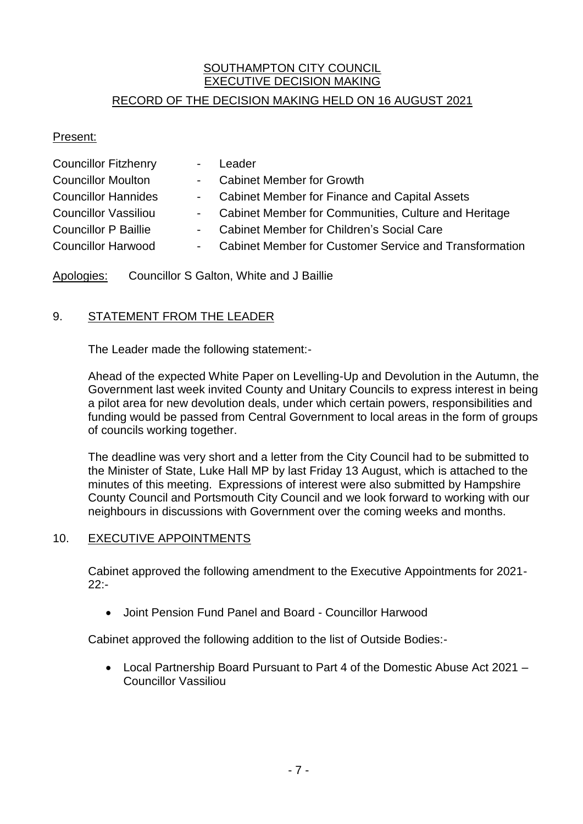# SOUTHAMPTON CITY COUNCIL EXECUTIVE DECISION MAKING

## RECORD OF THE DECISION MAKING HELD ON 16 AUGUST 2021

#### Present:

| <b>Councillor Fitzhenry</b> | Leader                                                   |
|-----------------------------|----------------------------------------------------------|
| <b>Councillor Moulton</b>   | - Cabinet Member for Growth                              |
| <b>Councillor Hannides</b>  | - Cabinet Member for Finance and Capital Assets          |
| <b>Councillor Vassiliou</b> | - Cabinet Member for Communities, Culture and Heritage   |
| <b>Councillor P Baillie</b> | - Cabinet Member for Children's Social Care              |
| <b>Councillor Harwood</b>   | - Cabinet Member for Customer Service and Transformation |

Apologies: Councillor S Galton, White and J Baillie

## 9. STATEMENT FROM THE LEADER

The Leader made the following statement:-

Ahead of the expected White Paper on Levelling-Up and Devolution in the Autumn, the Government last week invited County and Unitary Councils to express interest in being a pilot area for new devolution deals, under which certain powers, responsibilities and funding would be passed from Central Government to local areas in the form of groups of councils working together.

The deadline was very short and a letter from the City Council had to be submitted to the Minister of State, Luke Hall MP by last Friday 13 August, which is attached to the minutes of this meeting. Expressions of interest were also submitted by Hampshire County Council and Portsmouth City Council and we look forward to working with our neighbours in discussions with Government over the coming weeks and months.

### 10. EXECUTIVE APPOINTMENTS

Cabinet approved the following amendment to the Executive Appointments for 2021- 22:-

Joint Pension Fund Panel and Board - Councillor Harwood

Cabinet approved the following addition to the list of Outside Bodies:-

 Local Partnership Board Pursuant to Part 4 of the Domestic Abuse Act 2021 – Councillor Vassiliou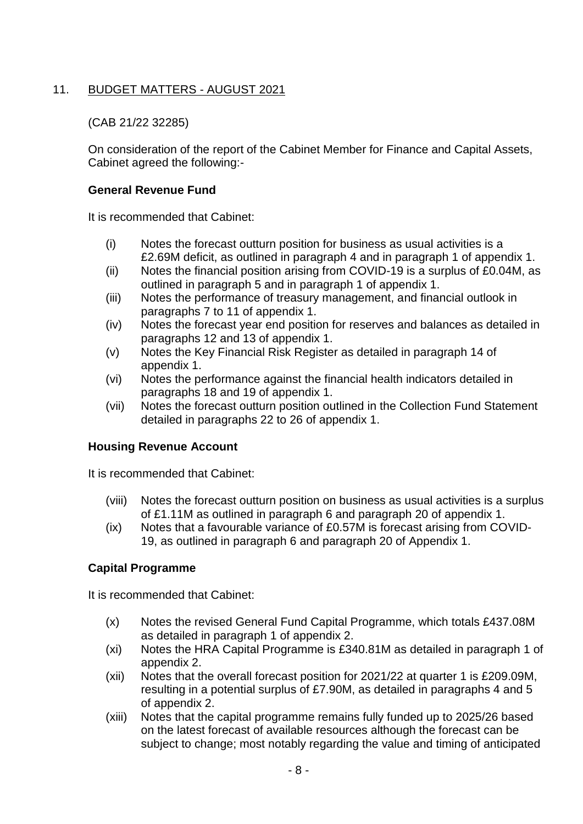# 11. BUDGET MATTERS - AUGUST 2021

#### (CAB 21/22 32285)

On consideration of the report of the Cabinet Member for Finance and Capital Assets, Cabinet agreed the following:-

#### **General Revenue Fund**

It is recommended that Cabinet:

- (i) Notes the forecast outturn position for business as usual activities is a £2.69M deficit, as outlined in paragraph 4 and in paragraph 1 of appendix 1.
- (ii) Notes the financial position arising from COVID-19 is a surplus of £0.04M, as outlined in paragraph 5 and in paragraph 1 of appendix 1.
- (iii) Notes the performance of treasury management, and financial outlook in paragraphs 7 to 11 of appendix 1.
- (iv) Notes the forecast year end position for reserves and balances as detailed in paragraphs 12 and 13 of appendix 1.
- (v) Notes the Key Financial Risk Register as detailed in paragraph 14 of appendix 1.
- (vi) Notes the performance against the financial health indicators detailed in paragraphs 18 and 19 of appendix 1.
- (vii) Notes the forecast outturn position outlined in the Collection Fund Statement detailed in paragraphs 22 to 26 of appendix 1.

### **Housing Revenue Account**

It is recommended that Cabinet:

- (viii) Notes the forecast outturn position on business as usual activities is a surplus of £1.11M as outlined in paragraph 6 and paragraph 20 of appendix 1.
- (ix) Notes that a favourable variance of £0.57M is forecast arising from COVID-19, as outlined in paragraph 6 and paragraph 20 of Appendix 1.

### **Capital Programme**

It is recommended that Cabinet:

- (x) Notes the revised General Fund Capital Programme, which totals £437.08M as detailed in paragraph 1 of appendix 2.
- (xi) Notes the HRA Capital Programme is £340.81M as detailed in paragraph 1 of appendix 2.
- (xii) Notes that the overall forecast position for 2021/22 at quarter 1 is £209.09M, resulting in a potential surplus of £7.90M, as detailed in paragraphs 4 and 5 of appendix 2.
- (xiii) Notes that the capital programme remains fully funded up to 2025/26 based on the latest forecast of available resources although the forecast can be subject to change; most notably regarding the value and timing of anticipated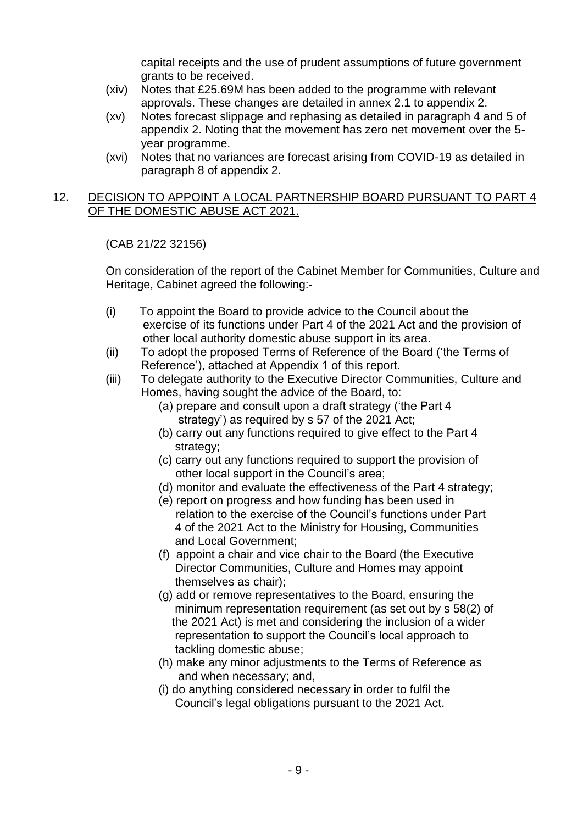capital receipts and the use of prudent assumptions of future government grants to be received.

- (xiv) Notes that £25.69M has been added to the programme with relevant approvals. These changes are detailed in annex 2.1 to appendix 2.
- (xv) Notes forecast slippage and rephasing as detailed in paragraph 4 and 5 of appendix 2. Noting that the movement has zero net movement over the 5 year programme.
- (xvi) Notes that no variances are forecast arising from COVID-19 as detailed in paragraph 8 of appendix 2.

#### 12. DECISION TO APPOINT A LOCAL PARTNERSHIP BOARD PURSUANT TO PART 4 OF THE DOMESTIC ABUSE ACT 2021.

(CAB 21/22 32156)

On consideration of the report of the Cabinet Member for Communities, Culture and Heritage, Cabinet agreed the following:-

- (i) To appoint the Board to provide advice to the Council about the exercise of its functions under Part 4 of the 2021 Act and the provision of other local authority domestic abuse support in its area.
- (ii) To adopt the proposed Terms of Reference of the Board ('the Terms of Reference'), attached at Appendix 1 of this report.
- (iii) To delegate authority to the Executive Director Communities, Culture and Homes, having sought the advice of the Board, to:
	- (a) prepare and consult upon a draft strategy ('the Part 4 strategy') as required by s 57 of the 2021 Act;
	- (b) carry out any functions required to give effect to the Part 4 strategy;
	- (c) carry out any functions required to support the provision of other local support in the Council's area;
	- (d) monitor and evaluate the effectiveness of the Part 4 strategy;
	- (e) report on progress and how funding has been used in relation to the exercise of the Council's functions under Part 4 of the 2021 Act to the Ministry for Housing, Communities and Local Government;
	- (f) appoint a chair and vice chair to the Board (the Executive Director Communities, Culture and Homes may appoint themselves as chair);
	- (g) add or remove representatives to the Board, ensuring the minimum representation requirement (as set out by s 58(2) of the 2021 Act) is met and considering the inclusion of a wider representation to support the Council's local approach to tackling domestic abuse;
	- (h) make any minor adjustments to the Terms of Reference as and when necessary; and,
	- (i) do anything considered necessary in order to fulfil the Council's legal obligations pursuant to the 2021 Act.